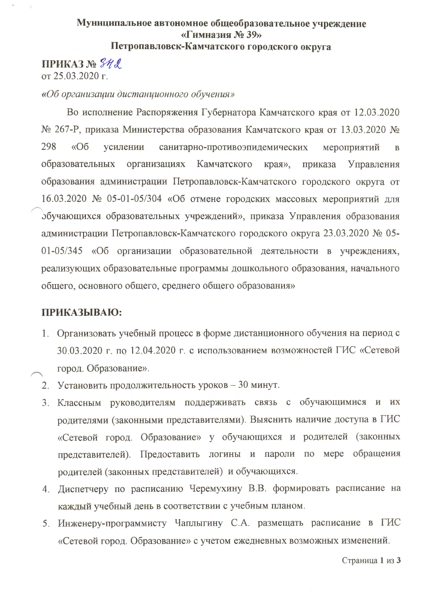## Муниципальное автономное общеобразовательное учреждение «Гимназия № 39» Петропавловск-Камчатского городского округа

ПРИКАЗ № 342

от 25.03.2020 г.

## «Об организации дистанционного обучения»

Во исполнение Распоряжения Губернатора Камчатского края от 12.03.2020 № 267-Р, приказа Министерства образования Камчатского края от 13.03.2020 № 298  $\triangleleft$ Oб усилении санитарно-противоэпидемических мероприятий  $\overline{B}$ образовательных организациях Камчатского края», приказа Управления образования администрации Петропавловск-Камчатского городского округа от 16.03.2020 № 05-01-05/304 «Об отмене городских массовых мероприятий для обучающихся образовательных учреждений», приказа Управления образования администрации Петропавловск-Камчатского городского округа 23.03.2020 № 05-01-05/345 «Об организации образовательной деятельности в учреждениях, реализующих образовательные программы дошкольного образования, начального общего, основного общего, среднего общего образования»

## ПРИКАЗЫВАЮ:

- 1. Организовать учебный процесс в форме дистанционного обучения на период с 30.03.2020 г. по 12.04.2020 г. с использованием возможностей ГИС «Сетевой город. Образование».
- 2. Установить продолжительность уроков 30 минут.
- 3. Классным руководителям поддерживать связь с обучающимися и их родителями (законными представителями). Выяснить наличие доступа в ГИС «Сетевой город. Образование» у обучающихся и родителей (законных представителей). Предоставить логины и пароли по мере обращения родителей (законных представителей) и обучающихся.
- 4. Диспетчеру по расписанию Черемухину В.В. формировать расписание на каждый учебный день в соответствии с учебным планом.
- 5. Инженеру-программисту Чаплыгину С.А. размещать расписание в ГИС «Сетевой город. Образование» с учетом ежедневных возможных изменений.

Страница 1 из 3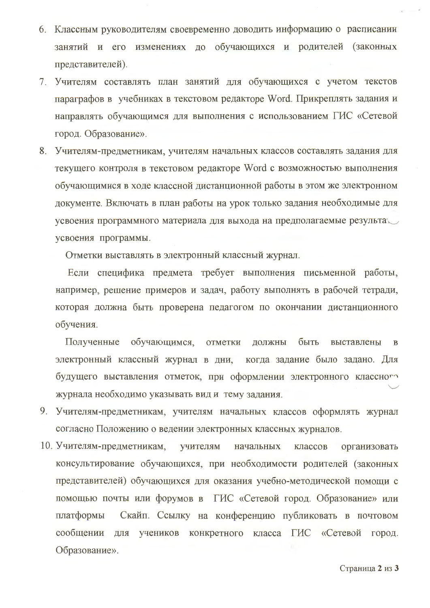- 6. Классным руководителям своевременно доводить информацию о расписании занятий и его изменениях до обучающихся и родителей (законных представителей).
- 7. Учителям составлять план занятий для обучающихся с учетом текстов параграфов в учебниках в текстовом редакторе Word. Прикреплять задания и направлять обучающимся для выполнения с использованием ГИС «Сетевой город. Образование».
- 8. Учителям-предметникам, учителям начальных классов составлять задания для текущего контроля в текстовом редакторе Word с возможностью выполнения обучающимися в ходе классной дистанционной работы в этом же электронном документе. Включать в план работы на урок только задания необходимые для усвоения программного материала для выхода на предполагаемые результа усвоения программы.

Отметки выставлять в электронный классный журнал.

Если специфика предмета требует выполнения письменной работы, например, решение примеров и задач, работу выполнять в рабочей тетради, которая должна быть проверена педагогом по окончании дистанционного обучения.

Полученные обучающимся, отметки должны быть выставлены  $\mathbf{B}$ электронный классный журнал в дни, когда задание было задано. Для будущего выставления отметок, при оформлении электронного классного журнала необходимо указывать вид и тему задания.

- 9. Учителям-предметникам, учителям начальных классов оформлять журнал согласно Положению о ведении электронных классных журналов.
- 10. Учителям-предметникам, учителям начальных классов организовать консультирование обучающихся, при необходимости родителей (законных представителей) обучающихся для оказания учебно-методической помощи с помощью почты или форумов в ГИС «Сетевой город. Образование» или Скайп. Ссылку на конференцию публиковать в почтовом платформы сообщении для учеников конкретного класса ГИС «Сетевой город. Образование».